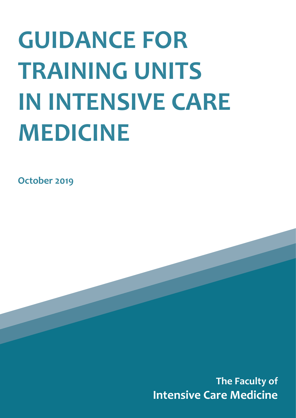# **GUIDANCE FOR TRAINING UNITS IN INTENSIVE CARE MEDICINE**

**October 2019**

**The Faculty of Intensive Care Medicine**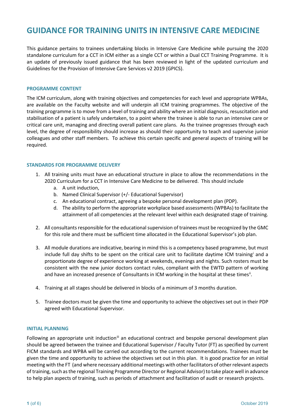# **GUIDANCE FOR TRAINING UNITS IN INTENSIVE CARE MEDICINE**

This guidance pertains to trainees undertaking blocks in Intensive Care Medicine while pursuing the 2020 standalone curriculum for a CCT in ICM either as a single CCT or within a Dual CCT Training Programme. It is an update of previously issued guidance that has been reviewed in light of the updated curriculum and Guidelines for the Provision of Intensive Care Services v2 2019 (GPICS).

#### **PROGRAMME CONTENT**

The ICM curriculum, along with training objectives and competencies for each level and appropriate WPBAs, are available on the Faculty website and will underpin all ICM training programmes. The objective of the training programme is to move from a level of training and ability where an initial diagnosis, resuscitation and stabilisation of a patient is safely undertaken, to a point where the trainee is able to run an intensive care or critical care unit, managing and directing overall patient care plans. As the trainee progresses through each level, the degree of responsibility should increase as should their opportunity to teach and supervise junior colleagues and other staff members. To achieve this certain specific and general aspects of training will be required.

#### **STANDARDS FOR PROGRAMME DELIVERY**

- 1. All training units must have an educational structure in place to allow the recommendations in the 2020 Curriculum for a CCT in Intensive Care Medicine to be delivered. This should include
	- a. A unit induction,
	- b. Named Clinical Supervisor (+/- Educational Supervisor)
	- c. An educational contract, agreeing a bespoke personal development plan (PDP).
	- d. The ability to perform the appropriate workplace based assessments (WPBAs) to facilitate the attainment of all competencies at the relevant level within each designated stage of training.
- 2. All consultants responsible for the educational supervision of trainees must be recognized by the GMC for this role and there must be sufficient time allocated in the Educational Supervisor's job plan.
- 3. All module durations are indicative, bearing in mind this is a competency based programme, but must include full day shifts to be spent on the critical care unit to facilitate daytime ICM training[i](#page-6-0) and a proportionate degree of experience working at weekends, evenings and nights. Such rosters must be consistent with the new junior doctors contact rules, compliant with the EWTD pattern of working and have an increased presence of Consultants in ICM working in the hospital at these times<sup>[ii](#page-6-1)</sup>.
- 4. Training at all stages should be delivered in blocks of a minimum of 3 months duration.
- 5. Trainee doctors must be given the time and opportunity to achieve the objectives set out in their PDP agreed with Educational Supervisor.

#### **INITIAL PLANNING**

Following an appropriate unit induction<sup>ii</sup> an educational contract and bespoke personal development plan should be agreed between the trainee and Educational Supervisor / Faculty Tutor (FT) as specified by current FICM standards and WPBA will be carried out according to the current recommendations. Trainees must be given the time and opportunity to achieve the objectives set out in this plan. It is good practice for an initial meeting with the FT (and where necessary additional meetings with other facilitators of other relevant aspects of training, such as the regional Training Programme Director or Regional Advisor) to take place well in advance to help plan aspects of training, such as periods of attachment and facilitation of audit or research projects.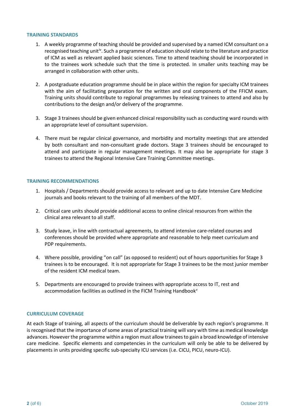#### **TRAINING STANDARDS**

- 1. A weekly programme of teaching should be provided and supervised by a named ICM consultant on a recognised teaching unit<sup>[iv](#page-6-3)</sup>. Such a programme of education should relate to the literature and practice of ICM as well as relevant applied basic sciences. Time to attend teaching should be incorporated in to the trainees work schedule such that the time is protected. In smaller units teaching may be arranged in collaboration with other units.
- 2. A postgraduate education programme should be in place within the region for specialty ICM trainees with the aim of facilitating preparation for the written and oral components of the FFICM exam. Training units should contribute to regional programmes by releasing trainees to attend and also by contributions to the design and/or delivery of the programme.
- 3. Stage 3 trainees should be given enhanced clinical responsibility such as conducting ward rounds with an appropriate level of consultant supervision.
- 4. There must be regular clinical governance, and morbidity and mortality meetings that are attended by both consultant and non-consultant grade doctors. Stage 3 trainees should be encouraged to attend and participate in regular management meetings. It may also be appropriate for stage 3 trainees to attend the Regional Intensive Care Training Committee meetings.

# **TRAINING RECOMMENDATIONS**

- 1. Hospitals / Departments should provide access to relevant and up to date Intensive Care Medicine journals and books relevant to the training of all members of the MDT.
- 2. Critical care units should provide additional access to online clinical resources from within the clinical area relevant to all staff.
- 3. Study leave, in line with contractual agreements, to attend intensive care-related courses and conferences should be provided where appropriate and reasonable to help meet curriculum and PDP requirements.
- 4. Where possible, providing "on call" (as opposed to resident) out of hours opportunities for Stage 3 trainees is to be encouraged. It is not appropriate for Stage 3 trainees to be the most junior member of the resident ICM medical team.
- 5. Departments are encouraged to provide trainees with appropriate access to IT, rest and accommodation facilities as outlined in the FICM Training Handbook<sup>[v](#page-6-4)</sup>

# **CURRICULUM COVERAGE**

At each Stage of training, all aspects of the curriculum should be deliverable by each region's programme. It is recognised that the importance of some areas of practical training will vary with time as medical knowledge advances. However the programme within a region must allow trainees to gain a broad knowledge of intensive care medicine. Specific elements and competencies in the curriculum will only be able to be delivered by placements in units providing specific sub-specialty ICU services (i.e. CICU, PICU, neuro-ICU).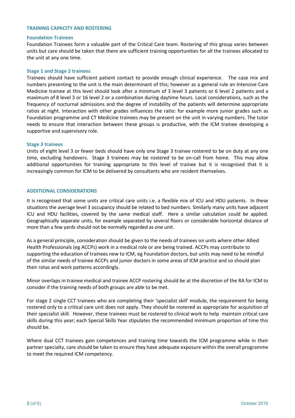#### **TRAINING CAPACITY AND ROSTERING**

#### **Foundation Trainees**

Foundation Trainees form a valuable part of the Critical Care team. Rostering of this group varies between units but care should be taken that there are sufficient training opportunities for all the trainees allocated to the unit at any one time.

#### **Stage 1 and Stage 2 trainees**

Trainees should have sufficient patient contact to provide enough clinical experience. The case mix and numbers presenting to the unit is the main determinant of this; however as a general rule an Intensive Care Medicine trainee at this level should look after a minimum of 3 level 3 patients or 6 level 2 patients and a maximum of 8 level 3 or 16 level 2 or a combination during daytime hours. Local considerations, such as the frequency of nocturnal admissions and the degree of instability of the patients will determine appropriate ratios at night. Interaction with other grades influences the ratio: for example more junior grades such as Foundation programme and CT Medicine trainees may be present on the unit in varying numbers. The tutor needs to ensure that interaction between these groups is productive, with the ICM trainee developing a supportive and supervisory role.

#### **Stage 3 trainees**

Units of eight level 3 or fewer beds should have only one Stage 3 trainee rostered to be on duty at any one time, excluding handovers. Stage 3 trainees may be rostered to be on-call from home. This may allow additional opportunities for training appropriate to this level of trainee but it is recognised that it is increasingly common for ICM to be delivered by consultants who are resident themselves.

#### **ADDITIONAL CONSIDERATIONS**

It is recognised that some units are critical care units i.e. a flexible mix of ICU and HDU patients. In these situations the average level 3 occupancy should be related to bed numbers. Similarly many units have adjacent ICU and HDU facilities, covered by the same medical staff. Here a similar calculation could be applied. Geographically separate units, for example separated by several floors or considerable horizontal distance of more than a few yards should not be normally regarded as one unit.

As a general principle, consideration should be given to the needs of trainees on units where other Allied Health Professionals (eg ACCPs) work in a medical role or are being trained. ACCPs may contribute to supporting the education of trainees new to ICM, eg Foundation doctors, but units may need to be mindful of the similar needs of trainee ACCPs and junior doctors in some areas of ICM practice and so should plan their rotas and work patterns accordingly.

Minor overlaps in trainee medical and trainee ACCP rostering should be at the discretion of the RA for ICM to consider if the training needs of both groups are able to be met.

For stage 2 single CCT trainees who are completing their 'specialist skill' module, the requirement for being rostered only to a critical care unit does not apply. They should be rostered as appropriate for acquisition of their specialist skill. However, these trainees must be rostered to clinical work to help maintain critical care skills during this year; each Special Skills Year stipulates the recommended minimum proportion of time this should be.

Where dual CCT trainees gain competences and training time towards the ICM programme while in their partner specialty, care should be taken to ensure they have adequate exposure within the overall programme to meet the required ICM competency.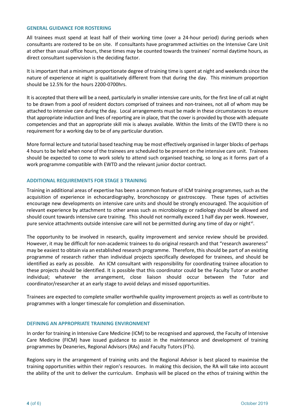#### **GENERAL GUIDANCE FOR ROSTERING**

All trainees must spend at least half of their working time (over a 24-hour period) during periods when consultants are rostered to be on site. If consultants have programmed activities on the Intensive Care Unit at other than usual office hours, these times may be counted towards the trainees' normal daytime hours, as direct consultant supervision is the deciding factor.

It is important that a minimum proportionate degree of training time is spent at night and weekends since the nature of experience at night is qualitatively different from that during the day. This minimum proportion should be 12.5% for the hours 2200-0700hrs.

It is accepted that there will be a need, particularly in smaller intensive care units, for the first line of call at night to be drawn from a pool of resident doctors comprised of trainees and non-trainees, not all of whom may be attached to intensive care during the day. Local arrangements must be made in these circumstances to ensure that appropriate induction and lines of reporting are in place, that the cover is provided by those with adequate competencies and that an appropriate skill mix is always available. Within the limits of the EWTD there is no requirement for a working day to be of any particular duration.

More formal lecture and tutorial based teaching may be most effectively organised in larger blocks of perhaps 4 hours to be held when none of the trainees are scheduled to be present on the intensive care unit. Trainees should be expected to come to work solely to attend such organised teaching, so long as it forms part of a work programme compatible with EWTD and the relevant junior doctor contract.

# **ADDITIONAL REQUIREMENTS FOR STAGE 3 TRAINING**

Training in additional areas of expertise has been a common feature of ICM training programmes, such as the acquisition of experience in echocardiography, bronchoscopy or gastroscopy. These types of activities encourage new developments on intensive care units and should be strongly encouraged. The acquisition of relevant experience by attachment to other areas such as microbiology or radiology should be allowed and should count towards intensive care training. This should not normally exceed 1 half day per week. However, pure service attachments outside intensive care will not be permitted during any time of day or night<sup>vi</sup>.

The opportunity to be involved in research, quality improvement and service review should be provided. However, it may be difficult for non-academic trainees to do original research and that "research awareness" may be easiest to obtain via an established research programme. Therefore, this should be part of an existing programme of research rather than individual projects specifically developed for trainees, and should be identified as early as possible. An ICM consultant with responsibility for coordinating trainee allocation to these projects should be identified. It is possible that this coordinator could be the Faculty Tutor or another individual; whatever the arrangement, close liaison should occur between the Tutor and coordinator/researcher at an early stage to avoid delays and missed opportunities.

Trainees are expected to complete smaller worthwhile quality improvement projects as well as contribute to programmes with a longer timescale for completion and dissemination.

# **DEFINING AN APPROPRIATE TRAINING ENVIRONMENT**

In order for training in Intensive Care Medicine (ICM) to be recognised and approved, the Faculty of Intensive Care Medicine (FICM) have issued guidance to assist in the maintenance and development of training programmes by Deaneries, Regional Advisors (RAs) and Faculty Tutors (FTs).

Regions vary in the arrangement of training units and the Regional Advisor is best placed to maximise the training opportunities within their region's resources. In making this decision, the RA will take into account the ability of the unit to deliver the curriculum. Emphasis will be placed on the ethos of training within the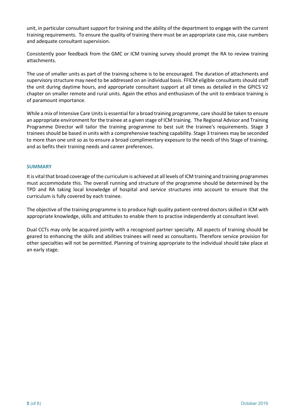unit, in particular consultant support for training and the ability of the department to engage with the current training requirements. To ensure the quality of training there must be an appropriate case mix, case numbers and adequate consultant supervision.

Consistently poor feedback from the GMC or ICM training survey should prompt the RA to review training attachments.

The use of smaller units as part of the training scheme is to be encouraged. The duration of attachments and supervisory structure may need to be addressed on an individual basis. FFICM eligible consultants should staff the unit during daytime hours, and appropriate consultant support at all times as detailed in the GPICS V2 chapter on smaller remote and rural units. Again the ethos and enthusiasm of the unit to embrace training is of paramount importance.

While a mix of Intensive Care Units is essential for a broad training programme, care should be taken to ensure an appropriate environment for the trainee at a given stage of ICM training. The Regional Advisor and Training Programme Director will tailor the training programme to best suit the trainee's requirements. Stage 3 trainees should be based in units with a comprehensive teaching capability. Stage 3 trainees may be seconded to more than one unit so as to ensure a broad complimentary exposure to the needs of this Stage of training, and as befits their training needs and career preferences.

# **SUMMARY**

It is vital that broad coverage of the curriculum is achieved at all levels of ICM training and training programmes must accommodate this. The overall running and structure of the programme should be determined by the TPD and RA taking local knowledge of hospital and service structures into account to ensure that the curriculum is fully covered by each trainee.

The objective of the training programme is to produce high quality patient-centred doctors skilled in ICM with appropriate knowledge, skills and attitudes to enable them to practise independently at consultant level.

Dual CCTs may only be acquired jointly with a recognised partner specialty. All aspects of training should be geared to enhancing the skills and abilities trainees will need as consultants. Therefore service provision for other specialties will not be permitted. Planning of training appropriate to the individual should take place at an early stage.